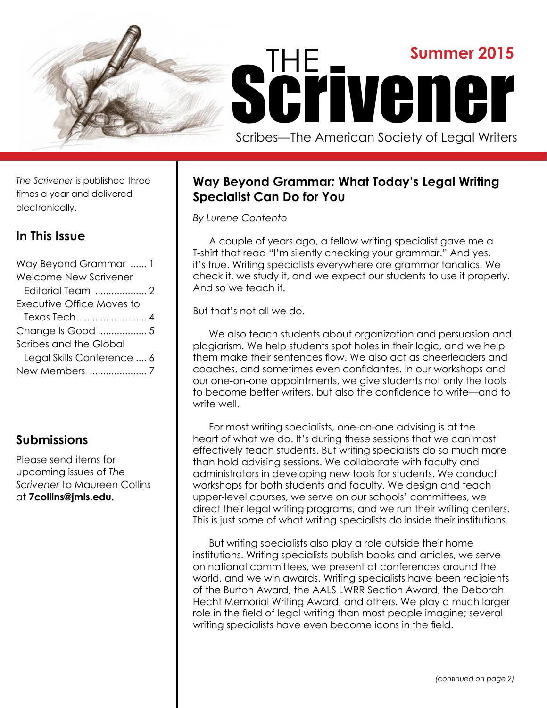

*The Scrivener* is published three times a year and delivered electronically.

# **In This Issue**

| Way Beyond Grammar  1        |
|------------------------------|
| <b>Welcome New Scrivener</b> |
| Editorial Team  2            |
| Executive Office Moves to    |
|                              |
| Change Is Good  5            |
| Scribes and the Global       |
| Legal Skills Conference  6   |
| New Members 7                |
|                              |

# **Submissions**

Please send items for upcoming issues of *The Scrivener* to Maureen Collins at **7collins@jmls.edu.**

# **Way Beyond Grammar***:* **What Today's Legal Writing Specialist Can Do for You**

*By Lurene Contento*

A couple of years ago, a fellow writing specialist gave me a T-shirt that read "I'm silently checking your grammar." And yes, it's true. Writing specialists everywhere are grammar fanatics. We check it, we study it, and we expect our students to use it properly. And so we teach it.

But that's not all we do.

We also teach students about organization and persuasion and plagiarism. We help students spot holes in their logic, and we help them make their sentences flow. We also act as cheerleaders and coaches, and sometimes even confidantes. In our workshops and our one-on-one appointments, we give students not only the tools to become better writers, but also the confidence to write—and to write well.

For most writing specialists, one-on-one advising is at the heart of what we do. It's during these sessions that we can most effectively teach students. But writing specialists do so much more than hold advising sessions. We collaborate with faculty and administrators in developing new tools for students. We conduct workshops for both students and faculty. We design and teach upper-level courses, we serve on our schools' committees, we direct their legal writing programs, and we run their writing centers. This is just some of what writing specialists do inside their institutions.

But writing specialists also play a role outside their home institutions. Writing specialists publish books and articles, we serve on national committees, we present at conferences around the world, and we win awards. Writing specialists have been recipients of the Burton Award, the AALS LWRR Section Award, the Deborah Hecht Memorial Writing Award, and others. We play a much larger role in the field of legal writing than most people imagine; several writing specialists have even become icons in the field.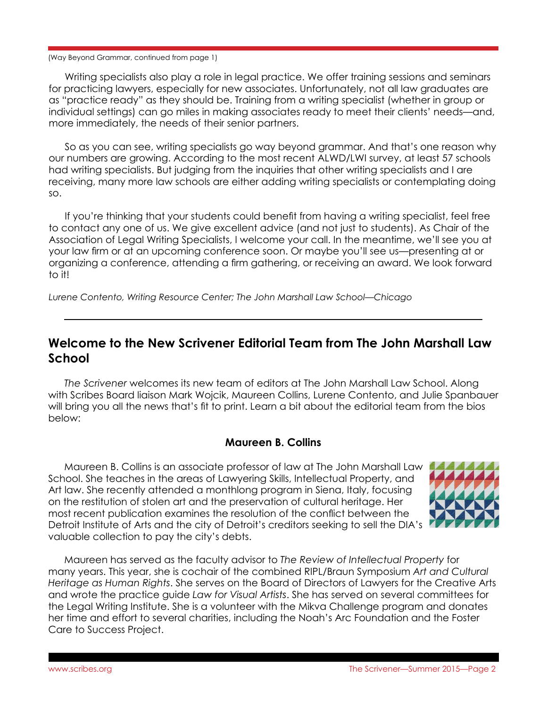#### (Way Beyond Grammar, continued from page 1)

Writing specialists also play a role in legal practice. We offer training sessions and seminars for practicing lawyers, especially for new associates. Unfortunately, not all law graduates are as "practice ready" as they should be. Training from a writing specialist (whether in group or individual settings) can go miles in making associates ready to meet their clients' needs—and, more immediately, the needs of their senior partners.

So as you can see, writing specialists go way beyond grammar. And that's one reason why our numbers are growing. According to the most recent ALWD/LWI survey, at least 57 schools had writing specialists. But judging from the inquiries that other writing specialists and I are receiving, many more law schools are either adding writing specialists or contemplating doing so.

If you're thinking that your students could benefit from having a writing specialist, feel free to contact any one of us. We give excellent advice (and not just to students). As Chair of the Association of Legal Writing Specialists, I welcome your call. In the meantime, we'll see you at your law firm or at an upcoming conference soon. Or maybe you'll see us—presenting at or organizing a conference, attending a firm gathering, or receiving an award. We look forward to it!

*Lurene Contento, Writing Resource Center; The John Marshall Law School—Chicago*

## **Welcome to the New Scrivener Editorial Team from The John Marshall Law School**

*The Scrivener* welcomes its new team of editors at The John Marshall Law School. Along with Scribes Board liaison Mark Wojcik, Maureen Collins, Lurene Contento, and Julie Spanbauer will bring you all the news that's fit to print. Learn a bit about the editorial team from the bios below:

### **Maureen B. Collins**

Maureen B. Collins is an associate professor of law at The John Marshall Law School. She teaches in the areas of Lawyering Skills, Intellectual Property, and Art law. She recently attended a monthlong program in Siena, Italy, focusing on the restitution of stolen art and the preservation of cultural heritage. Her most recent publication examines the resolution of the conflict between the Detroit Institute of Arts and the city of Detroit's creditors seeking to sell the DIA's valuable collection to pay the city's debts.



Maureen has served as the faculty advisor to *The Review of Intellectual Property* for many years. This year, she is cochair of the combined RIPL/Braun Symposium *Art and Cultural Heritage as Human Rights*. She serves on the Board of Directors of Lawyers for the Creative Arts and wrote the practice guide *Law for Visual Artists*. She has served on several committees for the Legal Writing Institute. She is a volunteer with the Mikva Challenge program and donates her time and effort to several charities, including the Noah's Arc Foundation and the Foster Care to Success Project.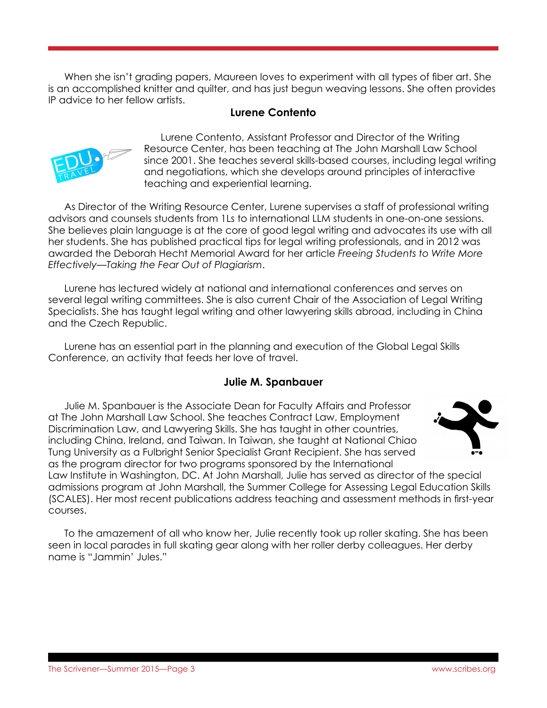When she isn't grading papers, Maureen loves to experiment with all types of fiber art. She is an accomplished knitter and quilter, and has just begun weaving lessons. She often provides IP advice to her fellow artists.

### **Lurene Contento**



Lurene Contento, Assistant Professor and Director of the Writing Resource Center, has been teaching at The John Marshall Law School since 2001. She teaches several skills-based courses, including legal writing and negotiations, which she develops around principles of interactive teaching and experiential learning.

As Director of the Writing Resource Center, Lurene supervises a staff of professional writing advisors and counsels students from 1Ls to international LLM students in one-on-one sessions. She believes plain language is at the core of good legal writing and advocates its use with all her students. She has published practical tips for legal writing professionals, and in 2012 was awarded the Deborah Hecht Memorial Award for her article *Freeing Students to Write More Effectively—Taking the Fear Out of Plagiarism*.

Lurene has lectured widely at national and international conferences and serves on several legal writing committees. She is also current Chair of the Association of Legal Writing Specialists. She has taught legal writing and other lawyering skills abroad, including in China and the Czech Republic.

Lurene has an essential part in the planning and execution of the Global Legal Skills Conference, an activity that feeds her love of travel.

### **Julie M. Spanbauer**

Julie M. Spanbauer is the Associate Dean for Faculty Affairs and Professor at The John Marshall Law School. She teaches Contract Law, Employment Discrimination Law, and Lawyering Skills. She has taught in other countries, including China, Ireland, and Taiwan. In Taiwan, she taught at National Chiao Tung University as a Fulbright Senior Specialist Grant Recipient. She has served as the program director for two programs sponsored by the International



Law Institute in Washington, DC. At John Marshall, Julie has served as director of the special admissions program at John Marshall, the Summer College for Assessing Legal Education Skills (SCALES). Her most recent publications address teaching and assessment methods in first-year courses.

To the amazement of all who know her, Julie recently took up roller skating. She has been seen in local parades in full skating gear along with her roller derby colleagues. Her derby name is "Jammin' Jules."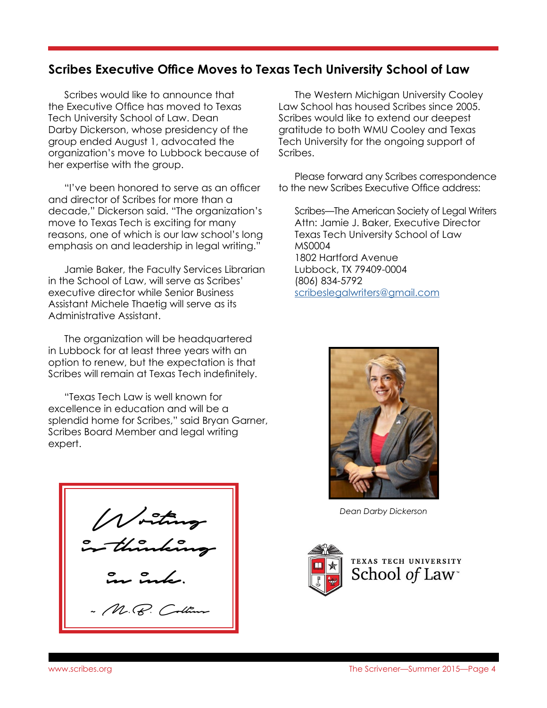## **Scribes Executive Office Moves to Texas Tech University School of Law**

Scribes would like to announce that the Executive Office has moved to Texas Tech University School of Law. Dean Darby Dickerson, whose presidency of the group ended August 1, advocated the organization's move to Lubbock because of her expertise with the group.

"I've been honored to serve as an officer and director of Scribes for more than a decade," Dickerson said. "The organization's move to Texas Tech is exciting for many reasons, one of which is our law school's long emphasis on and leadership in legal writing."

Jamie Baker, the Faculty Services Librarian in the School of Law, will serve as Scribes' executive director while Senior Business Assistant Michele Thaetig will serve as its Administrative Assistant.

The organization will be headquartered in Lubbock for at least three years with an option to renew, but the expectation is that Scribes will remain at Texas Tech indefinitely.

"Texas Tech Law is well known for excellence in education and will be a splendid home for Scribes," said Bryan Garner, Scribes Board Member and legal writing expert.

Writing is thinking in ink. ~ M.B. Collin

The Western Michigan University Cooley Law School has housed Scribes since 2005. Scribes would like to extend our deepest gratitude to both WMU Cooley and Texas Tech University for the ongoing support of Scribes.

Please forward any Scribes correspondence to the new Scribes Executive Office address:

Scribes—The American Society of Legal Writers Attn: Jamie J. Baker, Executive Director Texas Tech University School of Law MS0004 1802 Hartford Avenue Lubbock, TX 79409-0004 (806) 834-5792 [scribeslegalwriters@gmail.com](mailto:scribeslegalwriters%40gmail.com?subject=)



*Dean Darby Dickerson*

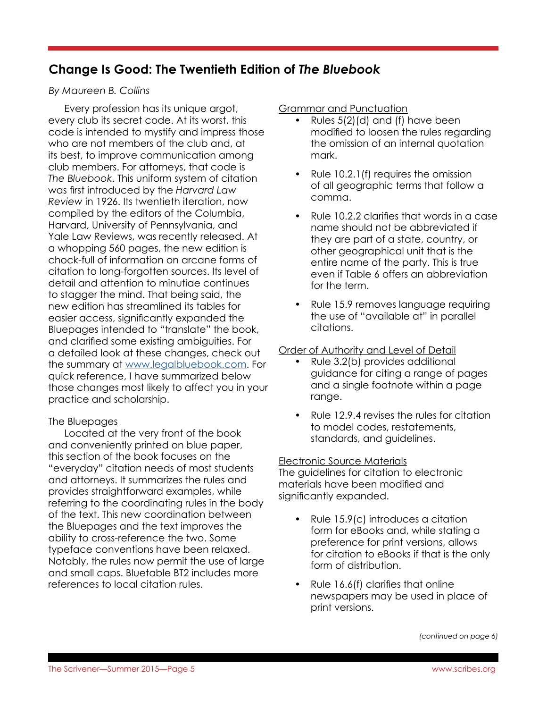# **Change Is Good: The Twentieth Edition of** *The Bluebook*

### *By Maureen B. Collins*

Every profession has its unique argot, every club its secret code. At its worst, this code is intended to mystify and impress those who are not members of the club and, at its best, to improve communication among club members. For attorneys, that code is *The Bluebook*. This uniform system of citation was first introduced by the *Harvard Law Review* in 1926. Its twentieth iteration, now compiled by the editors of the Columbia, Harvard, University of Pennsylvania, and Yale Law Reviews, was recently released. At a whopping 560 pages, the new edition is chock-full of information on arcane forms of citation to long-forgotten sources. Its level of detail and attention to minutiae continues to stagger the mind. That being said, the new edition has streamlined its tables for easier access, significantly expanded the Bluepages intended to "translate" the book, and clarified some existing ambiguities. For a detailed look at these changes, check out the summary at [www.legalbluebook.com.](http://www.legalbluebook.com) For quick reference, I have summarized below those changes most likely to affect you in your practice and scholarship.

### The Bluepages

Located at the very front of the book and conveniently printed on blue paper, this section of the book focuses on the "everyday" citation needs of most students and attorneys. It summarizes the rules and provides straightforward examples, while referring to the coordinating rules in the body of the text. This new coordination between the Bluepages and the text improves the ability to cross-reference the two. Some typeface conventions have been relaxed. Notably, the rules now permit the use of large and small caps. Bluetable BT2 includes more references to local citation rules.

Grammar and Punctuation

- Rules 5(2)(d) and (f) have been modified to loosen the rules regarding the omission of an internal quotation mark.
- Rule 10.2.1(f) requires the omission of all geographic terms that follow a comma.
- Rule 10.2.2 clarifies that words in a case name should not be abbreviated if they are part of a state, country, or other geographical unit that is the entire name of the party. This is true even if Table 6 offers an abbreviation for the term.
- Rule 15.9 removes language requiring the use of "available at" in parallel citations.

### Order of Authority and Level of Detail

- Rule 3.2(b) provides additional guidance for citing a range of pages and a single footnote within a page range.
- Rule 12.9.4 revises the rules for citation to model codes, restatements, standards, and guidelines.

### Electronic Source Materials

The guidelines for citation to electronic materials have been modified and significantly expanded.

- Rule 15.9(c) introduces a citation form for eBooks and, while stating a preference for print versions, allows for citation to eBooks if that is the only form of distribution.
- Rule 16.6(f) clarifies that online newspapers may be used in place of print versions.

*(continued on page 6)*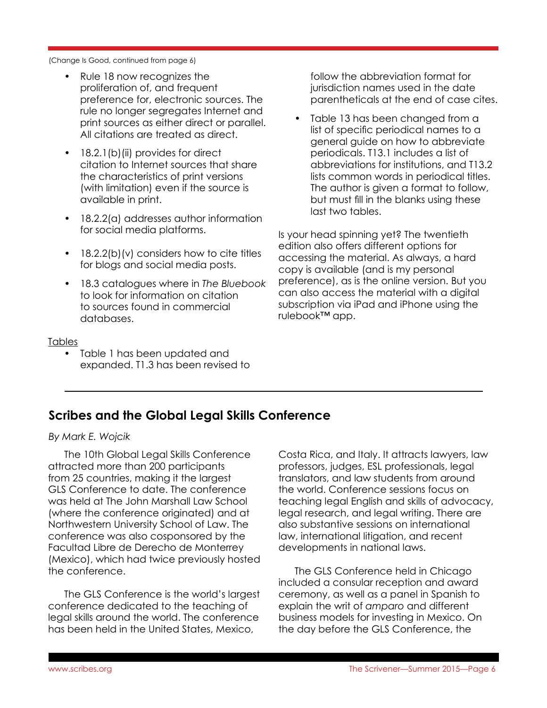(Change Is Good, continued from page 6)

- Rule 18 now recognizes the proliferation of, and frequent preference for, electronic sources. The rule no longer segregates Internet and print sources as either direct or parallel. All citations are treated as direct.
- 18.2.1(b)(ii) provides for direct citation to Internet sources that share the characteristics of print versions (with limitation) even if the source is available in print.
- 18.2.2(a) addresses author information for social media platforms.
- 18.2.2(b)(v) considers how to cite titles for blogs and social media posts.
- 18.3 catalogues where in *The Bluebook* to look for information on citation to sources found in commercial databases.

#### Tables

• Table 1 has been updated and expanded. T1.3 has been revised to

follow the abbreviation format for jurisdiction names used in the date parentheticals at the end of case cites.

• Table 13 has been changed from a list of specific periodical names to a general guide on how to abbreviate periodicals. T13.1 includes a list of abbreviations for institutions, and T13.2 lists common words in periodical titles. The author is given a format to follow, but must fill in the blanks using these last two tables.

Is your head spinning yet? The twentieth edition also offers different options for accessing the material. As always, a hard copy is available (and is my personal preference), as is the online version. But you can also access the material with a digital subscription via iPad and iPhone using the rulebook™ app.

## **Scribes and the Global Legal Skills Conference**

*By Mark E. Wojcik*

The 10th Global Legal Skills Conference attracted more than 200 participants from 25 countries, making it the largest GLS Conference to date. The conference was held at The John Marshall Law School (where the conference originated) and at Northwestern University School of Law. The conference was also cosponsored by the Facultad Libre de Derecho de Monterrey (Mexico), which had twice previously hosted the conference.

The GLS Conference is the world's largest conference dedicated to the teaching of legal skills around the world. The conference has been held in the United States, Mexico,

Costa Rica, and Italy. It attracts lawyers, law professors, judges, ESL professionals, legal translators, and law students from around the world. Conference sessions focus on teaching legal English and skills of advocacy, legal research, and legal writing. There are also substantive sessions on international law, international litigation, and recent developments in national laws.

The GLS Conference held in Chicago included a consular reception and award ceremony, as well as a panel in Spanish to explain the writ of *amparo* and different business models for investing in Mexico. On the day before the GLS Conference, the